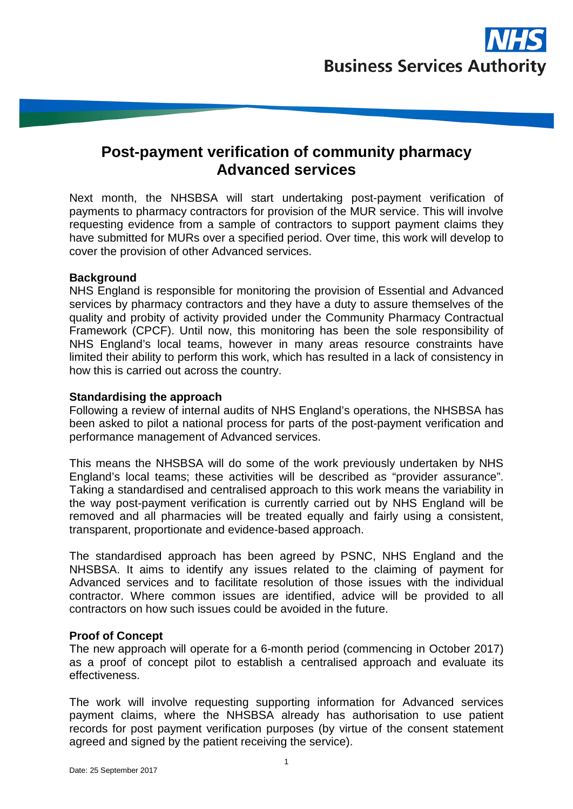# **Post-payment verification of community pharmacy Advanced services**

Next month, the NHSBSA will start undertaking post-payment verification of payments to pharmacy contractors for provision of the MUR service. This will involve requesting evidence from a sample of contractors to support payment claims they have submitted for MURs over a specified period. Over time, this work will develop to cover the provision of other Advanced services.

# **Background**

NHS England is responsible for monitoring the provision of Essential and Advanced services by pharmacy contractors and they have a duty to assure themselves of the quality and probity of activity provided under the Community Pharmacy Contractual Framework (CPCF). Until now, this monitoring has been the sole responsibility of NHS England's local teams, however in many areas resource constraints have limited their ability to perform this work, which has resulted in a lack of consistency in how this is carried out across the country.

# **Standardising the approach**

Following a review of internal audits of NHS England's operations, the NHSBSA has been asked to pilot a national process for parts of the post-payment verification and performance management of Advanced services.

This means the NHSBSA will do some of the work previously undertaken by NHS England's local teams; these activities will be described as "provider assurance". Taking a standardised and centralised approach to this work means the variability in the way post-payment verification is currently carried out by NHS England will be removed and all pharmacies will be treated equally and fairly using a consistent, transparent, proportionate and evidence-based approach.

The standardised approach has been agreed by PSNC, NHS England and the NHSBSA. It aims to identify any issues related to the claiming of payment for Advanced services and to facilitate resolution of those issues with the individual contractor. Where common issues are identified, advice will be provided to all contractors on how such issues could be avoided in the future.

# **Proof of Concept**

The new approach will operate for a 6-month period (commencing in October 2017) as a proof of concept pilot to establish a centralised approach and evaluate its effectiveness.

The work will involve requesting supporting information for Advanced services payment claims, where the NHSBSA already has authorisation to use patient records for post payment verification purposes (by virtue of the consent statement agreed and signed by the patient receiving the service).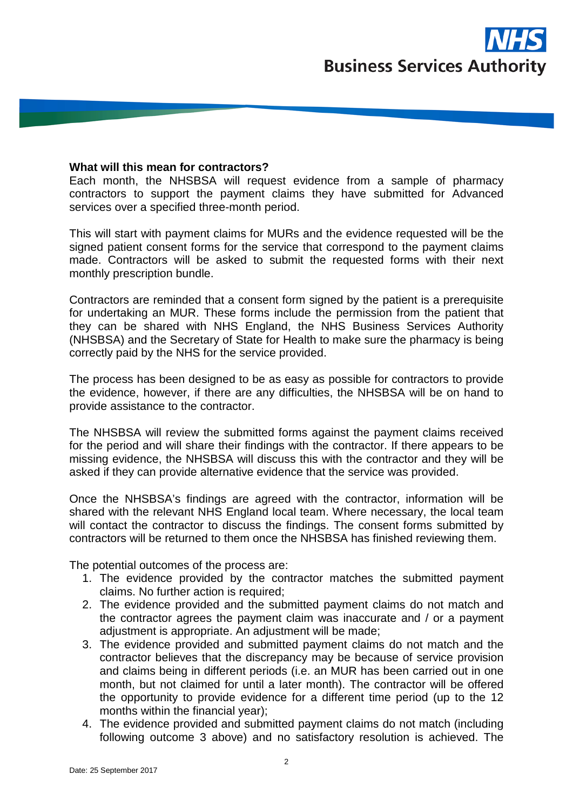

#### **What will this mean for contractors?**

Each month, the NHSBSA will request evidence from a sample of pharmacy contractors to support the payment claims they have submitted for Advanced services over a specified three-month period.

This will start with payment claims for MURs and the evidence requested will be the signed patient consent forms for the service that correspond to the payment claims made. Contractors will be asked to submit the requested forms with their next monthly prescription bundle.

Contractors are reminded that a consent form signed by the patient is a prerequisite for undertaking an MUR. These forms include the permission from the patient that they can be shared with NHS England, the NHS Business Services Authority (NHSBSA) and the Secretary of State for Health to make sure the pharmacy is being correctly paid by the NHS for the service provided.

The process has been designed to be as easy as possible for contractors to provide the evidence, however, if there are any difficulties, the NHSBSA will be on hand to provide assistance to the contractor.

The NHSBSA will review the submitted forms against the payment claims received for the period and will share their findings with the contractor. If there appears to be missing evidence, the NHSBSA will discuss this with the contractor and they will be asked if they can provide alternative evidence that the service was provided.

Once the NHSBSA's findings are agreed with the contractor, information will be shared with the relevant NHS England local team. Where necessary, the local team will contact the contractor to discuss the findings. The consent forms submitted by contractors will be returned to them once the NHSBSA has finished reviewing them.

The potential outcomes of the process are:

- 1. The evidence provided by the contractor matches the submitted payment claims. No further action is required;
- 2. The evidence provided and the submitted payment claims do not match and the contractor agrees the payment claim was inaccurate and / or a payment adjustment is appropriate. An adjustment will be made;
- 3. The evidence provided and submitted payment claims do not match and the contractor believes that the discrepancy may be because of service provision and claims being in different periods (i.e. an MUR has been carried out in one month, but not claimed for until a later month). The contractor will be offered the opportunity to provide evidence for a different time period (up to the 12 months within the financial year);
- 4. The evidence provided and submitted payment claims do not match (including following outcome 3 above) and no satisfactory resolution is achieved. The